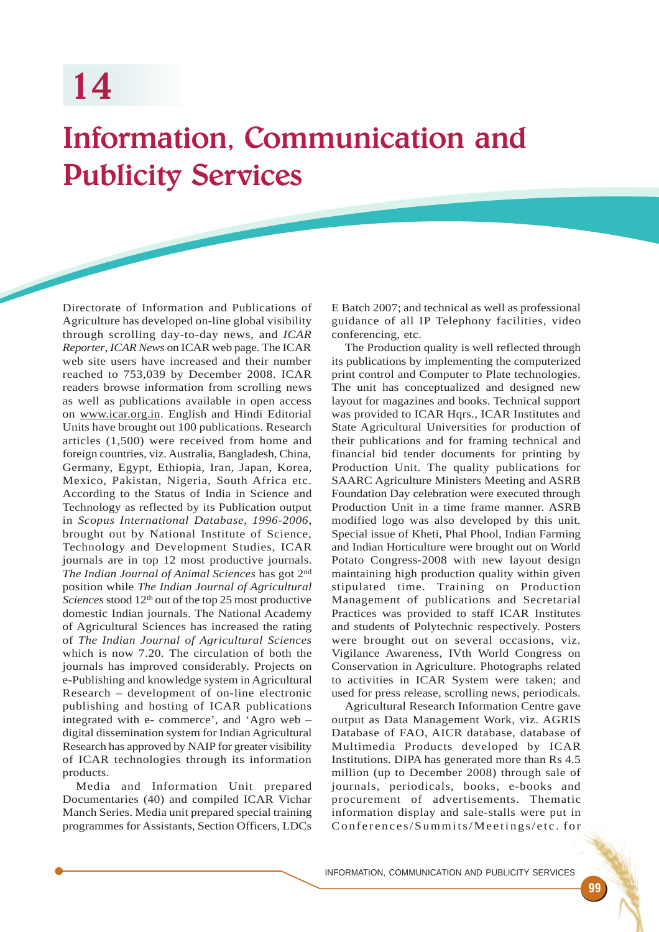## Information, Communication and Publicity Services

Directorate of Information and Publications of Agriculture has developed on-line global visibility through scrolling day-to-day news, and *ICAR Reporter*, *ICAR News* on ICAR web page. The ICAR web site users have increased and their number reached to 753,039 by December 2008. ICAR readers browse information from scrolling news as well as publications available in open access on www.icar.org.in. English and Hindi Editorial Units have brought out 100 publications. Research articles (1,500) were received from home and foreign countries, viz. Australia, Bangladesh, China, Germany, Egypt, Ethiopia, Iran, Japan, Korea, Mexico, Pakistan, Nigeria, South Africa etc. According to the Status of India in Science and Technology as reflected by its Publication output in *Scopus International Database, 1996-2006*, brought out by National Institute of Science, Technology and Development Studies, ICAR journals are in top 12 most productive journals. *The Indian Journal of Animal Sciences* has got 2nd position while *The Indian Journal of Agricultural* Sciences stood 12<sup>th</sup> out of the top 25 most productive domestic Indian journals. The National Academy of Agricultural Sciences has increased the rating of *The Indian Journal of Agricultural Sciences* which is now 7.20. The circulation of both the journals has improved considerably. Projects on e-Publishing and knowledge system in Agricultural Research – development of on-line electronic publishing and hosting of ICAR publications integrated with e- commerce', and 'Agro web – digital dissemination system for Indian Agricultural Research has approved by NAIP for greater visibility of ICAR technologies through its information products.

Media and Information Unit prepared Documentaries (40) and compiled ICAR Vichar Manch Series. Media unit prepared special training programmes for Assistants, Section Officers, LDCs

E Batch 2007; and technical as well as professional guidance of all IP Telephony facilities, video conferencing, etc.

The Production quality is well reflected through its publications by implementing the computerized print control and Computer to Plate technologies. The unit has conceptualized and designed new layout for magazines and books. Technical support was provided to ICAR Hqrs., ICAR Institutes and State Agricultural Universities for production of their publications and for framing technical and financial bid tender documents for printing by Production Unit. The quality publications for SAARC Agriculture Ministers Meeting and ASRB Foundation Day celebration were executed through Production Unit in a time frame manner. ASRB modified logo was also developed by this unit. Special issue of Kheti, Phal Phool, Indian Farming and Indian Horticulture were brought out on World Potato Congress-2008 with new layout design maintaining high production quality within given stipulated time. Training on Production Management of publications and Secretarial Practices was provided to staff ICAR Institutes and students of Polytechnic respectively. Posters were brought out on several occasions, viz. Vigilance Awareness, IVth World Congress on Conservation in Agriculture. Photographs related to activities in ICAR System were taken; and used for press release, scrolling news, periodicals.

Agricultural Research Information Centre gave output as Data Management Work, viz. AGRIS Database of FAO, AICR database, database of Multimedia Products developed by ICAR Institutions. DIPA has generated more than Rs 4.5 million (up to December 2008) through sale of journals, periodicals, books, e-books and procurement of advertisements. Thematic information display and sale-stalls were put in Conferences/Summits/Meetings/etc. for